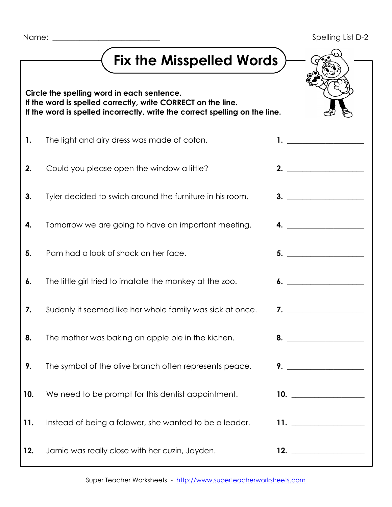| Name: |  |  |  |
|-------|--|--|--|
|-------|--|--|--|

|     | <b>Fix the Misspelled Words</b>                                                                                                                                                           |                     |
|-----|-------------------------------------------------------------------------------------------------------------------------------------------------------------------------------------------|---------------------|
|     | Circle the spelling word in each sentence.<br>If the word is spelled correctly, write CORRECT on the line.<br>If the word is spelled incorrectly, write the correct spelling on the line. |                     |
| 1.  | The light and airy dress was made of coton.                                                                                                                                               | $\mathbf{1.}$       |
| 2.  | Could you please open the window a little?                                                                                                                                                | 2.                  |
| 3.  | Tyler decided to swich around the furniture in his room.                                                                                                                                  | 3.                  |
| 4.  | Tomorrow we are going to have an important meeting.                                                                                                                                       |                     |
| 5.  | Pam had a look of shock on her face.                                                                                                                                                      | 5.                  |
| 6.  | The little girl tried to imatate the monkey at the zoo.                                                                                                                                   |                     |
| 7.  | Sudenly it seemed like her whole family was sick at once.                                                                                                                                 | $\overline{7}$ .    |
| 8.  | The mother was baking an apple pie in the kichen.                                                                                                                                         |                     |
| 9.  | The symbol of the olive branch often represents peace.                                                                                                                                    |                     |
| 10. | We need to be prompt for this dentist appointment.                                                                                                                                        | 10. $\qquad \qquad$ |
| 11. | Instead of being a folower, she wanted to be a leader.                                                                                                                                    |                     |
| 12. | Jamie was really close with her cuzin, Jayden.                                                                                                                                            | 12.                 |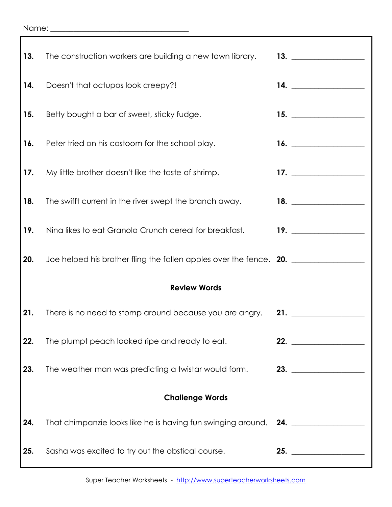## Name: \_\_\_\_\_\_\_\_\_\_\_\_\_\_\_\_\_\_\_\_\_\_\_\_\_\_\_\_\_\_\_\_\_\_\_\_

| 13.                    | The construction workers are building a new town library.          | 13. $\qquad \qquad$           |  |  |  |
|------------------------|--------------------------------------------------------------------|-------------------------------|--|--|--|
| 14.                    | Doesn't that octupos look creepy?!                                 | 14. $\qquad \qquad$           |  |  |  |
| 15.                    | Betty bought a bar of sweet, sticky fudge.                         | 15. $\qquad \qquad$           |  |  |  |
| 16.                    | Peter tried on his costoom for the school play.                    |                               |  |  |  |
| 17.                    | My little brother doesn't like the taste of shrimp.                | 17. $\qquad \qquad$           |  |  |  |
| 18.                    | The swifft current in the river swept the branch away.             | 18. $\qquad$                  |  |  |  |
| 19.                    | Nina likes to eat Granola Crunch cereal for breakfast.             | 19. $\qquad \qquad$           |  |  |  |
| 20.                    | Joe helped his brother fling the fallen apples over the fence. 20. |                               |  |  |  |
| <b>Review Words</b>    |                                                                    |                               |  |  |  |
| 21.                    | There is no need to stomp around because you are angry. 21.        |                               |  |  |  |
| 22.                    | The plumpt peach looked ripe and ready to eat.                     | 22.                           |  |  |  |
| 23.                    | The weather man was predicting a twistar would form.               | 23. $\qquad \qquad$           |  |  |  |
| <b>Challenge Words</b> |                                                                    |                               |  |  |  |
| 24.                    | That chimpanzie looks like he is having fun swinging around.       | <u>24. __________________</u> |  |  |  |
| 25.                    | Sasha was excited to try out the obstical course.                  | 25. $\qquad \qquad$           |  |  |  |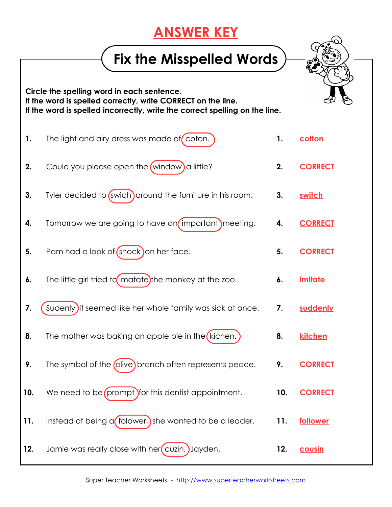## **ANSWER KEY**

## **Fix the Misspelled Words**

**Circle the spelling word in each sentence. If the word is spelled correctly, write CORRECT on the line. If the word is spelled incorrectly, write the correct spelling on the line.**

**1.** The light and airy dress was made of coton. **1. cotton 2.** Could you please open the (window) a little? **2. CORRECT 3.** Tyler decided to (swich) around the furniture in his room. **3.** switch **4.** Tomorrow we are going to have an important meeting. **4. CORRECT 5.** Pam had a look of (shock) on her face. **5. CORRECT 6.** The little girl tried to imatate) the monkey at the zoo. **6. imitate 7. (Sudenly)** it seemed like her whole family was sick at once. **7. suddenly 8.** The mother was baking an apple pie in the (kichen.) **8.** kitchen **9.** The symbol of the *(olive)* branch often represents peace. **9. CORRECT 10.** We need to be (prompt) for this dentist appointment. **10. CORRECT 11.** Instead of being a *folower*, she wanted to be a leader. **11. follower 12.** Jamie was really close with her (cuzin, )Jayden. **12. cousin**